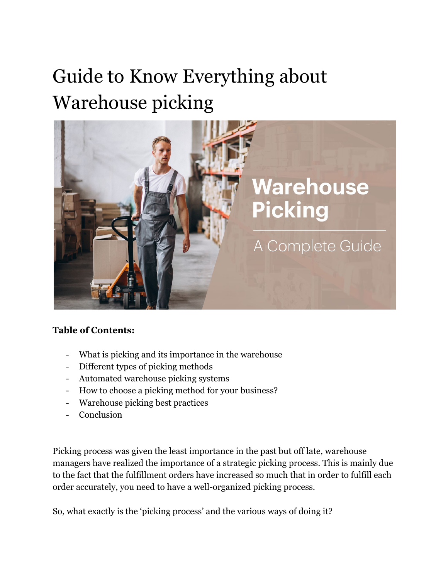# Guide to Know Everything about Warehouse picking



#### **Table of Contents:**

- What is picking and its importance in the warehouse
- Different types of picking methods
- Automated warehouse picking systems
- How to choose a picking method for your business?
- Warehouse picking best practices
- **Conclusion**

Picking process was given the least importance in the past but off late, warehouse managers have realized the importance of a strategic picking process. This is mainly due to the fact that the fulfillment orders have increased so much that in order to fulfill each order accurately, you need to have a well-organized picking process.

So, what exactly is the 'picking process' and the various ways of doing it?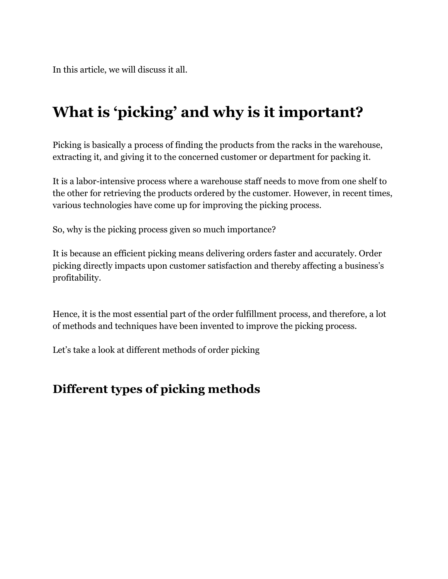In this article, we will discuss it all.

# **What is 'picking' and why is it important?**

Picking is basically a process of finding the products from the racks in the warehouse, extracting it, and giving it to the concerned customer or department for packing it.

It is a labor-intensive process where a warehouse staff needs to move from one shelf to the other for retrieving the products ordered by the customer. However, in recent times, various technologies have come up for improving the picking process.

So, why is the picking process given so much importance?

It is because an efficient picking means delivering orders faster and accurately. Order picking directly impacts upon customer satisfaction and thereby affecting a business's profitability.

Hence, it is the most essential part of the order fulfillment process, and therefore, a lot of methods and techniques have been invented to improve the picking process.

Let's take a look at different methods of order picking

# **Different types of picking methods**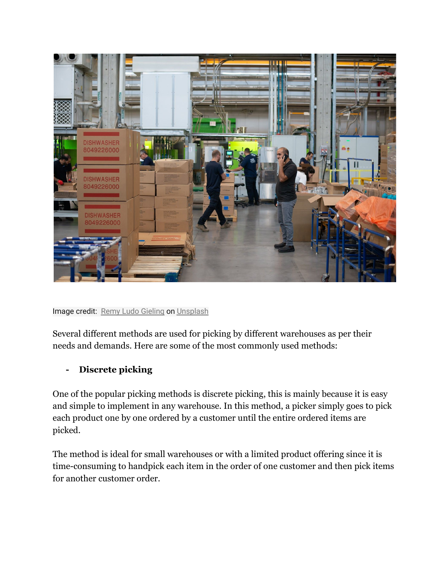

Image credit: [Remy Ludo Gieling](https://unsplash.com/@gieling?utm_source=unsplash&utm_medium=referral&utm_content=creditCopyText) on [Unsplash](https://unsplash.com/s/photos/order-picking-warehouse?utm_source=unsplash&utm_medium=referral&utm_content=creditCopyText)

Several different methods are used for picking by different warehouses as per their needs and demands. Here are some of the most commonly used methods:

#### **- Discrete picking**

One of the popular picking methods is discrete picking, this is mainly because it is easy and simple to implement in any warehouse. In this method, a picker simply goes to pick each product one by one ordered by a customer until the entire ordered items are picked.

The method is ideal for small warehouses or with a limited product offering since it is time-consuming to handpick each item in the order of one customer and then pick items for another customer order.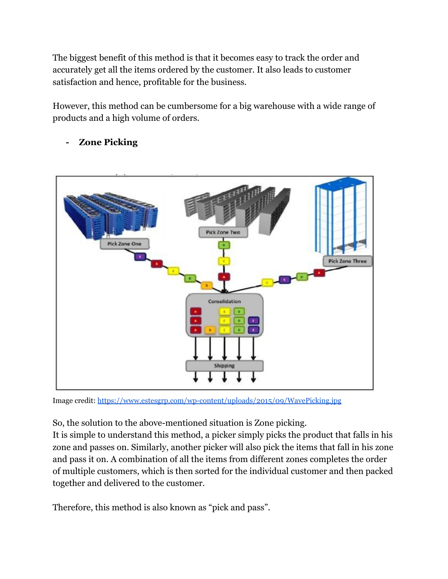The biggest benefit of this method is that it becomes easy to track the order and accurately get all the items ordered by the customer. It also leads to customer satisfaction and hence, profitable for the business.

However, this method can be cumbersome for a big warehouse with a wide range of products and a high volume of orders.

- **Pick Zone Two** Pick Zone One **Pick Zone Three** Consolidation  $\bullet$ ь Shipping
- **- Zone Picking**

Image credit: <https://www.estesgrp.com/wp-content/uploads/2015/09/WavePicking.jpg>

So, the solution to the above-mentioned situation is Zone picking.

It is simple to understand this method, a picker simply picks the product that falls in his zone and passes on. Similarly, another picker will also pick the items that fall in his zone and pass it on. A combination of all the items from different zones completes the order of multiple customers, which is then sorted for the individual customer and then packed together and delivered to the customer.

Therefore, this method is also known as "pick and pass".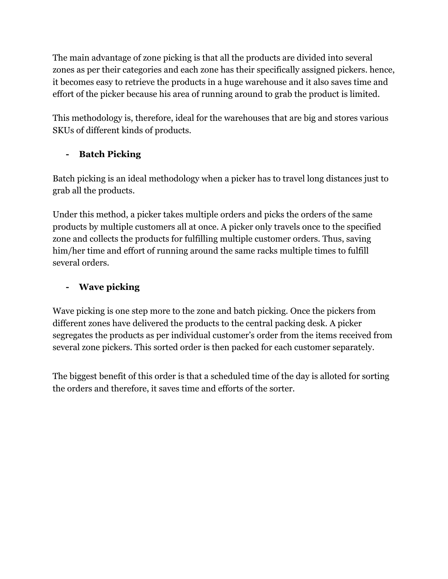The main advantage of zone picking is that all the products are divided into several zones as per their categories and each zone has their specifically assigned pickers. hence, it becomes easy to retrieve the products in a huge warehouse and it also saves time and effort of the picker because his area of running around to grab the product is limited.

This methodology is, therefore, ideal for the warehouses that are big and stores various SKUs of different kinds of products.

#### **- Batch Picking**

Batch picking is an ideal methodology when a picker has to travel long distances just to grab all the products.

Under this method, a picker takes multiple orders and picks the orders of the same products by multiple customers all at once. A picker only travels once to the specified zone and collects the products for fulfilling multiple customer orders. Thus, saving him/her time and effort of running around the same racks multiple times to fulfill several orders.

#### **- Wave picking**

Wave picking is one step more to the zone and batch picking. Once the pickers from different zones have delivered the products to the central packing desk. A picker segregates the products as per individual customer's order from the items received from several zone pickers. This sorted order is then packed for each customer separately.

The biggest benefit of this order is that a scheduled time of the day is alloted for sorting the orders and therefore, it saves time and efforts of the sorter.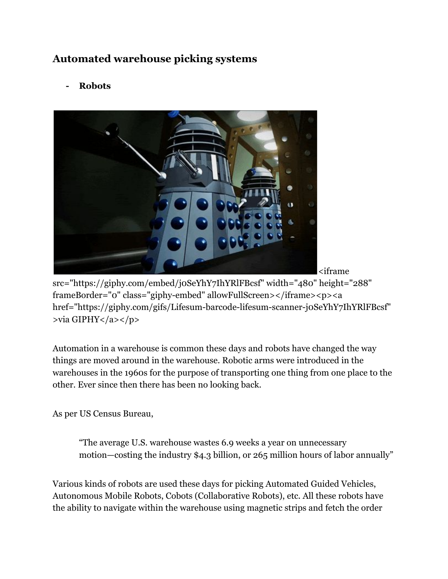# **Automated warehouse picking systems**

**- Robots**



<iframe

src="https://giphy.com/embed/j0SeYhY7IhYRlFBcsf" width="480" height="288" frameBorder="0" class="giphy-embed" allowFullScreen></iframe><p><a href="https://giphy.com/gifs/Lifesum-barcode-lifesum-scanner-j0SeYhY7IhYRlFBcsf" >via GIPHY</a></p>

Automation in a warehouse is common these days and robots have changed the way things are moved around in the warehouse. Robotic arms were introduced in the warehouses in the 1960s for the purpose of transporting one thing from one place to the other. Ever since then there has been no looking back.

As per US Census Bureau,

"The average U.S. warehouse wastes 6.9 weeks a year on unnecessary motion—costing the industry \$4.3 billion, or 265 million hours of labor annually"

Various kinds of robots are used these days for picking Automated Guided Vehicles, Autonomous Mobile Robots, Cobots (Collaborative Robots), etc. All these robots have the ability to navigate within the warehouse using magnetic strips and fetch the order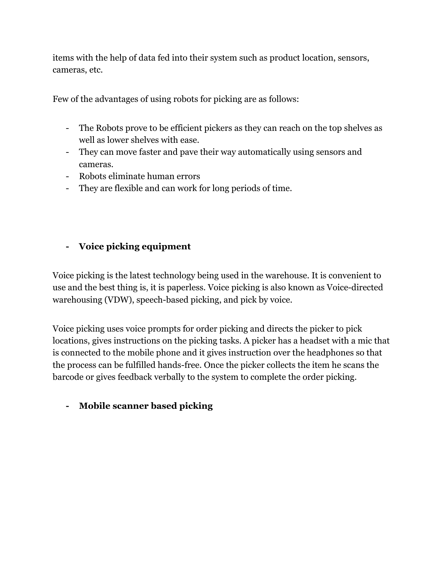items with the help of data fed into their system such as product location, sensors, cameras, etc.

Few of the advantages of using robots for picking are as follows:

- The Robots prove to be efficient pickers as they can reach on the top shelves as well as lower shelves with ease.
- They can move faster and pave their way automatically using sensors and cameras.
- Robots eliminate human errors
- They are flexible and can work for long periods of time.

#### **- Voice picking equipment**

Voice picking is the latest technology being used in the warehouse. It is convenient to use and the best thing is, it is paperless. Voice picking is also known as Voice-directed warehousing (VDW), speech-based picking, and pick by voice.

Voice picking uses voice prompts for order picking and directs the picker to pick locations, gives instructions on the picking tasks. A picker has a headset with a mic that is connected to the mobile phone and it gives instruction over the headphones so that the process can be fulfilled hands-free. Once the picker collects the item he scans the barcode or gives feedback verbally to the system to complete the order picking.

#### **- Mobile scanner based picking**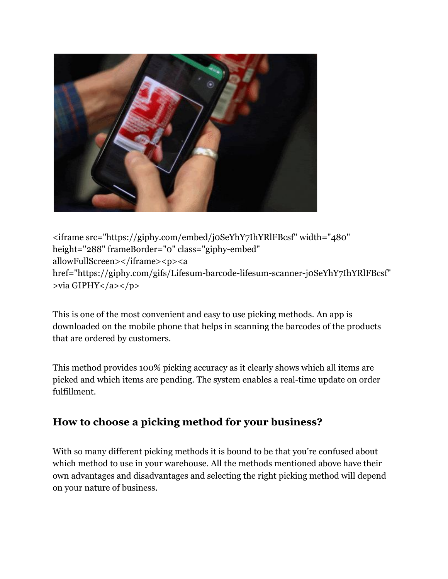

<iframe src="https://giphy.com/embed/j0SeYhY7IhYRlFBcsf" width="480" height="288" frameBorder="0" class="giphy-embed" allowFullScreen></iframe><p><a href="https://giphy.com/gifs/Lifesum-barcode-lifesum-scanner-j0SeYhY7IhYRlFBcsf" >via GIPHY</a></p>

This is one of the most convenient and easy to use picking methods. An app is downloaded on the mobile phone that helps in scanning the barcodes of the products that are ordered by customers.

This method provides 100% picking accuracy as it clearly shows which all items are picked and which items are pending. The system enables a real-time update on order fulfillment.

### **How to choose a picking method for your business?**

With so many different picking methods it is bound to be that you're confused about which method to use in your warehouse. All the methods mentioned above have their own advantages and disadvantages and selecting the right picking method will depend on your nature of business.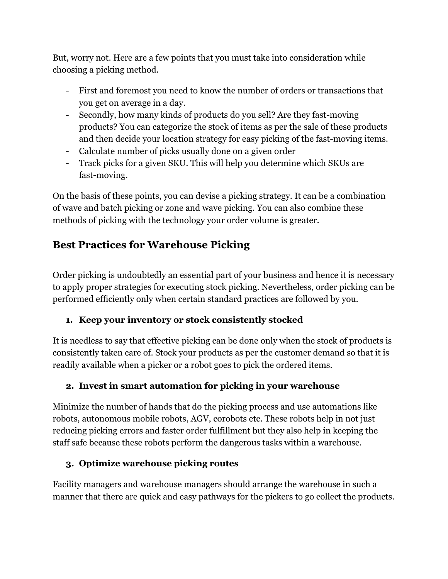But, worry not. Here are a few points that you must take into consideration while choosing a picking method.

- First and foremost you need to know the number of orders or transactions that you get on average in a day.
- Secondly, how many kinds of products do you sell? Are they fast-moving products? You can categorize the stock of items as per the sale of these products and then decide your location strategy for easy picking of the fast-moving items.
- Calculate number of picks usually done on a given order
- Track picks for a given SKU. This will help you determine which SKUs are fast-moving.

On the basis of these points, you can devise a picking strategy. It can be a combination of wave and batch picking or zone and wave picking. You can also combine these methods of picking with the technology your order volume is greater.

# **Best Practices for Warehouse Picking**

Order picking is undoubtedly an essential part of your business and hence it is necessary to apply proper strategies for executing stock picking. Nevertheless, order picking can be performed efficiently only when certain standard practices are followed by you.

#### **1. Keep your inventory or stock consistently stocked**

It is needless to say that effective picking can be done only when the stock of products is consistently taken care of. Stock your products as per the customer demand so that it is readily available when a picker or a robot goes to pick the ordered items.

#### **2. Invest in smart automation for picking in your warehouse**

Minimize the number of hands that do the picking process and use automations like robots, autonomous mobile robots, AGV, corobots etc. These robots help in not just reducing picking errors and faster order fulfillment but they also help in keeping the staff safe because these robots perform the dangerous tasks within a warehouse.

#### **3. Optimize warehouse picking routes**

Facility managers and warehouse managers should arrange the warehouse in such a manner that there are quick and easy pathways for the pickers to go collect the products.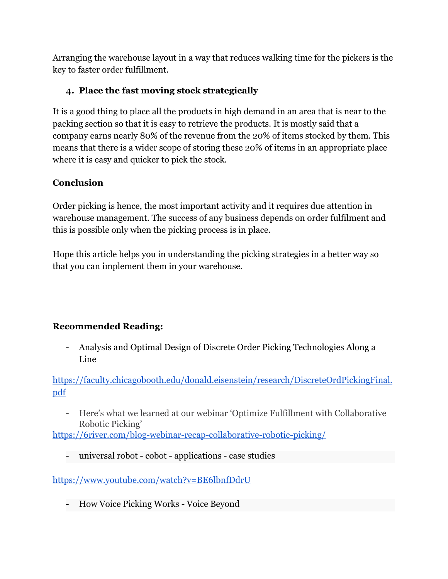Arranging the warehouse layout in a way that reduces walking time for the pickers is the key to faster order fulfillment.

#### **4. Place the fast moving stock strategically**

It is a good thing to place all the products in high demand in an area that is near to the packing section so that it is easy to retrieve the products. It is mostly said that a company earns nearly 80% of the revenue from the 20% of items stocked by them. This means that there is a wider scope of storing these 20% of items in an appropriate place where it is easy and quicker to pick the stock.

#### **Conclusion**

Order picking is hence, the most important activity and it requires due attention in warehouse management. The success of any business depends on order fulfilment and this is possible only when the picking process is in place.

Hope this article helps you in understanding the picking strategies in a better way so that you can implement them in your warehouse.

#### **Recommended Reading:**

- Analysis and Optimal Design of Discrete Order Picking Technologies Along a Line

[https://faculty.chicagobooth.edu/donald.eisenstein/research/DiscreteOrdPickingFinal.](https://faculty.chicagobooth.edu/donald.eisenstein/research/DiscreteOrdPickingFinal.pdf) [pdf](https://faculty.chicagobooth.edu/donald.eisenstein/research/DiscreteOrdPickingFinal.pdf)

- Here's what we learned at our webinar 'Optimize Fulfillment with Collaborative Robotic Picking'

<https://6river.com/blog-webinar-recap-collaborative-robotic-picking/>

- universal robot - cobot - applications - case studies

<https://www.youtube.com/watch?v=BE6lbnfDdrU>

- How Voice Picking Works - Voice Beyond